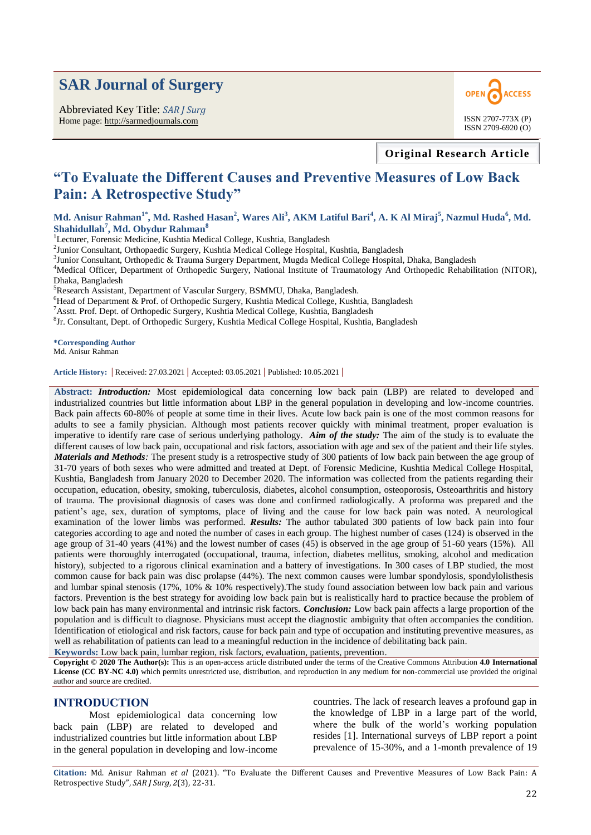# **SAR Journal of Surgery**

Abbreviated Key Title: *SAR J Surg* Home page: http://sarmedjournals.com ISSN 2707-773X (P)



**Original Research Article**

# **"To Evaluate the Different Causes and Preventive Measures of Low Back Pain: A Retrospective Study"**

**Md. Anisur Rahman1\* , Md. Rashed Hasan<sup>2</sup> , Wares Ali<sup>3</sup> , AKM Latiful Bari<sup>4</sup> , A. K Al Miraj<sup>5</sup> , Nazmul Huda<sup>6</sup> , Md. Shahidullah<sup>7</sup> , Md. Obydur Rahman<sup>8</sup>** 

<sup>1</sup>Lecturer, Forensic Medicine, Kushtia Medical College, Kushtia, Bangladesh

<sup>2</sup>Junior Consultant, Orthopaedic Surgery, Kushtia Medical College Hospital, Kushtia, Bangladesh

<sup>3</sup>Junior Consultant, Orthopedic & Trauma Surgery Department, Mugda Medical College Hospital, Dhaka, Bangladesh

<sup>4</sup>Medical Officer, Department of Orthopedic Surgery, National Institute of Traumatology And Orthopedic Rehabilitation (NITOR), Dhaka, Bangladesh

<sup>5</sup>Research Assistant, Department of Vascular Surgery, BSMMU, Dhaka, Bangladesh.

<sup>6</sup>Head of Department & Prof. of Orthopedic Surgery, Kushtia Medical College, Kushtia, Bangladesh

<sup>7</sup>Asstt. Prof. Dept. of Orthopedic Surgery, Kushtia Medical College, Kushtia, Bangladesh

8 Jr. Consultant, Dept. of Orthopedic Surgery, Kushtia Medical College Hospital, Kushtia, Bangladesh

**\*Corresponding Author** Md. Anisur Rahman

**Article History: |** Received: 27.03.2021 **|** Accepted: 03.05.2021 **|** Published: 10.05.2021 **|**

**Abstract:** *Introduction:* Most epidemiological data concerning low back pain (LBP) are related to developed and industrialized countries but little information about LBP in the general population in developing and low-income countries. Back pain affects 60-80% of people at some time in their lives. Acute low back pain is one of the most common reasons for adults to see a family physician. Although most patients recover quickly with minimal treatment, proper evaluation is imperative to identify rare case of serious underlying pathology. *Aim of the study:* The aim of the study is to evaluate the different causes of low back pain, occupational and risk factors, association with age and sex of the patient and their life styles. *Materials and Methods*: The present study is a retrospective study of 300 patients of low back pain between the age group of 31-70 years of both sexes who were admitted and treated at Dept. of Forensic Medicine, Kushtia Medical College Hospital, Kushtia, Bangladesh from January 2020 to December 2020. The information was collected from the patients regarding their occupation, education, obesity, smoking, tuberculosis, diabetes, alcohol consumption, osteoporosis, Osteoarthritis and history of trauma. The provisional diagnosis of cases was done and confirmed radiologically. A proforma was prepared and the patient's age, sex, duration of symptoms, place of living and the cause for low back pain was noted. A neurological examination of the lower limbs was performed. *Results:* The author tabulated 300 patients of low back pain into four categories according to age and noted the number of cases in each group. The highest number of cases (124) is observed in the age group of 31-40 years (41%) and the lowest number of cases (45) is observed in the age group of 51-60 years (15%). All patients were thoroughly interrogated (occupational, trauma, infection, diabetes mellitus, smoking, alcohol and medication history), subjected to a rigorous clinical examination and a battery of investigations. In 300 cases of LBP studied, the most common cause for back pain was disc prolapse (44%). The next common causes were lumbar spondylosis, spondylolisthesis and lumbar spinal stenosis (17%, 10% & 10% respectively).The study found association between low back pain and various factors. Prevention is the best strategy for avoiding low back pain but is realistically hard to practice because the problem of low back pain has many environmental and intrinsic risk factors. *Conclusion:* Low back pain affects a large proportion of the population and is difficult to diagnose. Physicians must accept the diagnostic ambiguity that often accompanies the condition. Identification of etiological and risk factors, cause for back pain and type of occupation and instituting preventive measures, as well as rehabilitation of patients can lead to a meaningful reduction in the incidence of debilitating back pain.

**Keywords:** Low back pain, lumbar region, risk factors, evaluation, patients, prevention.

**Copyright © 2020 The Author(s):** This is an open-access article distributed under the terms of the Creative Commons Attribution **4.0 International License (CC BY-NC 4.0)** which permits unrestricted use, distribution, and reproduction in any medium for non-commercial use provided the original author and source are credited.

### **INTRODUCTION**

Most epidemiological data concerning low back pain (LBP) are related to developed and industrialized countries but little information about LBP in the general population in developing and low-income

countries. The lack of research leaves a profound gap in the knowledge of LBP in a large part of the world, where the bulk of the world's working population resides [1]. International surveys of LBP report a point prevalence of 15-30%, and a 1-month prevalence of 19

**Citation:** Md. Anisur Rahman *et al* (2021). "To Evaluate the Different Causes and Preventive Measures of Low Back Pain: A Retrospective Study", *SAR J Surg*, *2*(3), 22-31.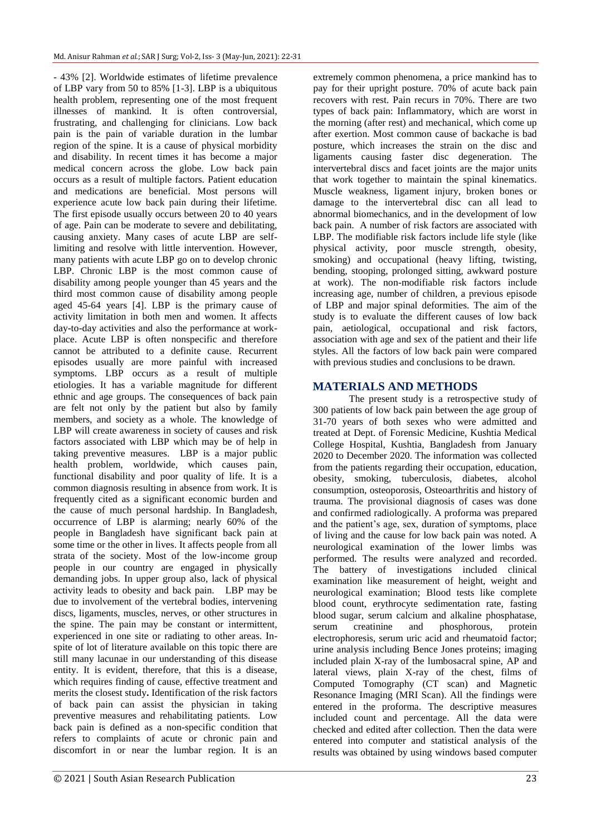- 43% [2]. Worldwide estimates of lifetime prevalence of LBP vary from 50 to 85% [1-3]. LBP is a ubiquitous health problem, representing one of the most frequent illnesses of mankind. It is often controversial, frustrating, and challenging for clinicians. Low back pain is the pain of variable duration in the lumbar region of the spine. It is a cause of physical morbidity and disability. In recent times it has become a major medical concern across the globe. Low back pain occurs as a result of multiple factors. Patient education and medications are beneficial. Most persons will experience acute low back pain during their lifetime. The first episode usually occurs between 20 to 40 years of age. Pain can be moderate to severe and debilitating, causing anxiety. Many cases of acute LBP are selflimiting and resolve with little intervention. However, many patients with acute LBP go on to develop chronic LBP. Chronic LBP is the most common cause of disability among people younger than 45 years and the third most common cause of disability among people aged 45-64 years [4]. LBP is the primary cause of activity limitation in both men and women. It affects day-to-day activities and also the performance at workplace. Acute LBP is often nonspecific and therefore cannot be attributed to a definite cause. Recurrent episodes usually are more painful with increased symptoms. LBP occurs as a result of multiple etiologies. It has a variable magnitude for different ethnic and age groups. The consequences of back pain are felt not only by the patient but also by family members, and society as a whole. The knowledge of LBP will create awareness in society of causes and risk factors associated with LBP which may be of help in taking preventive measures. LBP is a major public health problem, worldwide, which causes pain, functional disability and poor quality of life. It is a common diagnosis resulting in absence from work. It is frequently cited as a significant economic burden and the cause of much personal hardship. In Bangladesh, occurrence of LBP is alarming; nearly 60% of the people in Bangladesh have significant back pain at some time or the other in lives. It affects people from all strata of the society. Most of the low-income group people in our country are engaged in physically demanding jobs. In upper group also, lack of physical activity leads to obesity and back pain. LBP may be due to involvement of the vertebral bodies, intervening discs, ligaments, muscles, nerves, or other structures in the spine. The pain may be constant or intermittent, experienced in one site or radiating to other areas. Inspite of lot of literature available on this topic there are still many lacunae in our understanding of this disease entity. It is evident, therefore, that this is a disease, which requires finding of cause, effective treatment and merits the closest study**.** Identification of the risk factors of back pain can assist the physician in taking preventive measures and rehabilitating patients. Low back pain is defined as a non-specific condition that refers to complaints of acute or chronic pain and discomfort in or near the lumbar region. It is an

extremely common phenomena, a price mankind has to pay for their upright posture. 70% of acute back pain recovers with rest. Pain recurs in 70%. There are two types of back pain: Inflammatory, which are worst in the morning (after rest) and mechanical, which come up after exertion. Most common cause of backache is bad posture, which increases the strain on the disc and ligaments causing faster disc degeneration. The intervertebral discs and facet joints are the major units that work together to maintain the spinal kinematics. Muscle weakness, ligament injury, broken bones or damage to the intervertebral disc can all lead to abnormal biomechanics, and in the development of low back pain. A number of risk factors are associated with LBP. The modifiable risk factors include life style (like physical activity, poor muscle strength, obesity, smoking) and occupational (heavy lifting, twisting, bending, stooping, prolonged sitting, awkward posture at work). The non-modifiable risk factors include increasing age, number of children, a previous episode of LBP and major spinal deformities. The aim of the study is to evaluate the different causes of low back pain, aetiological, occupational and risk factors, association with age and sex of the patient and their life styles. All the factors of low back pain were compared with previous studies and conclusions to be drawn.

## **MATERIALS AND METHODS**

The present study is a retrospective study of 300 patients of low back pain between the age group of 31-70 years of both sexes who were admitted and treated at Dept. of Forensic Medicine, Kushtia Medical College Hospital, Kushtia, Bangladesh from January 2020 to December 2020. The information was collected from the patients regarding their occupation, education, obesity, smoking, tuberculosis, diabetes, alcohol consumption, osteoporosis, Osteoarthritis and history of trauma. The provisional diagnosis of cases was done and confirmed radiologically. A proforma was prepared and the patient's age, sex, duration of symptoms, place of living and the cause for low back pain was noted. A neurological examination of the lower limbs was performed. The results were analyzed and recorded. The battery of investigations included clinical examination like measurement of height, weight and neurological examination; Blood tests like complete blood count, erythrocyte sedimentation rate, fasting blood sugar, serum calcium and alkaline phosphatase, serum creatinine and phosphorous, protein electrophoresis, serum uric acid and rheumatoid factor; urine analysis including Bence Jones proteins; imaging included plain X-ray of the lumbosacral spine, AP and lateral views, plain X-ray of the chest, films of Computed Tomography (CT scan) and Magnetic Resonance Imaging (MRI Scan). All the findings were entered in the proforma. The descriptive measures included count and percentage. All the data were checked and edited after collection. Then the data were entered into computer and statistical analysis of the results was obtained by using windows based computer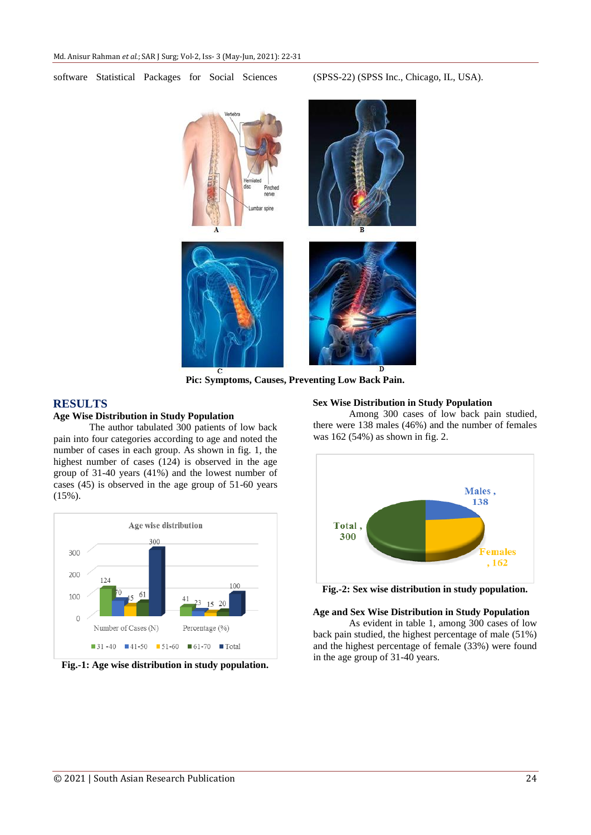software Statistical Packages for Social Sciences (SPSS-22) (SPSS Inc., Chicago, IL, USA).



**Pic: Symptoms, Causes, Preventing Low Back Pain.**

## **RESULTS**

## **Age Wise Distribution in Study Population**

The author tabulated 300 patients of low back pain into four categories according to age and noted the number of cases in each group. As shown in fig. 1, the highest number of cases (124) is observed in the age group of 31-40 years (41%) and the lowest number of cases (45) is observed in the age group of 51-60 years  $(15\%)$ .



**Fig.-1: Age wise distribution in study population.**

#### **Sex Wise Distribution in Study Population**

Among 300 cases of low back pain studied, there were 138 males (46%) and the number of females was 162 (54%) as shown in fig. 2.



**Fig.-2: Sex wise distribution in study population.**

#### **Age and Sex Wise Distribution in Study Population**

As evident in table 1, among 300 cases of low back pain studied, the highest percentage of male (51%) and the highest percentage of female (33%) were found in the age group of 31-40 years.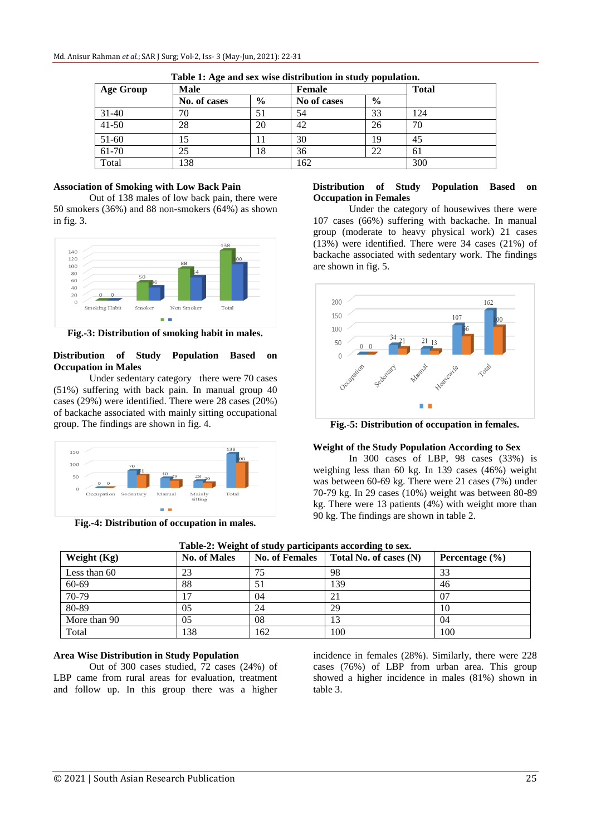| <b>Age Group</b> | <b>Male</b>  |               | Female      |               | <b>Total</b> |
|------------------|--------------|---------------|-------------|---------------|--------------|
|                  | No. of cases | $\frac{0}{0}$ | No of cases | $\frac{6}{9}$ |              |
| $31 - 40$        | 70           | 51            | 54          | 33            | 124          |
| $41 - 50$        | 28           | 20            | 42          | 26            | 70           |
| 51-60            |              | $\perp$       | 30          | 19            | 45           |
| 61-70            | 25           | 18            | 36          | 22            | 61           |
| Total            | 138          |               | 162         |               | 300          |

**Table 1: Age and sex wise distribution in study population.**

#### **Association of Smoking with Low Back Pain**

Out of 138 males of low back pain, there were 50 smokers (36%) and 88 non-smokers (64%) as shown in fig. 3.



**Fig.-3: Distribution of smoking habit in males.**

#### **Distribution of Study Population Based on Occupation in Males**

Under sedentary category there were 70 cases (51%) suffering with back pain. In manual group 40 cases (29%) were identified. There were 28 cases (20%) of backache associated with mainly sitting occupational group. The findings are shown in fig. 4.



**Fig.-4: Distribution of occupation in males.**

### **Distribution of Study Population Based on Occupation in Females**

Under the category of housewives there were 107 cases (66%) suffering with backache. In manual group (moderate to heavy physical work) 21 cases (13%) were identified. There were 34 cases (21%) of backache associated with sedentary work. The findings are shown in fig. 5.



**Fig.-5: Distribution of occupation in females.**

### **Weight of the Study Population According to Sex**

In 300 cases of LBP, 98 cases (33%) is weighing less than 60 kg. In 139 cases (46%) weight was between 60-69 kg. There were 21 cases (7%) under 70-79 kg. In 29 cases (10%) weight was between 80-89 kg. There were 13 patients (4%) with weight more than 90 kg. The findings are shown in table 2.

| Table-2: Weight of study participants according to sex. |                     |                       |                        |                    |  |  |
|---------------------------------------------------------|---------------------|-----------------------|------------------------|--------------------|--|--|
| Weight $(Kg)$                                           | <b>No. of Males</b> | <b>No. of Females</b> | Total No. of cases (N) | Percentage $(\% )$ |  |  |
| Less than 60                                            | 23                  | 75                    | 98                     | 33                 |  |  |
| 60-69                                                   | 88                  |                       | 139                    | 46                 |  |  |
| 70-79                                                   | ┑                   | 04                    | 21                     | 07                 |  |  |
| 80-89                                                   | 05                  | 24                    | 29                     | 10                 |  |  |
| More than 90                                            | 0 <sub>5</sub>      | 08                    | 13                     | 04                 |  |  |
| Total                                                   | 138                 | 162                   | 100                    | 100                |  |  |

#### **Area Wise Distribution in Study Population**

Out of 300 cases studied, 72 cases (24%) of LBP came from rural areas for evaluation, treatment and follow up. In this group there was a higher incidence in females (28%). Similarly, there were 228 cases (76%) of LBP from urban area. This group showed a higher incidence in males (81%) shown in table 3.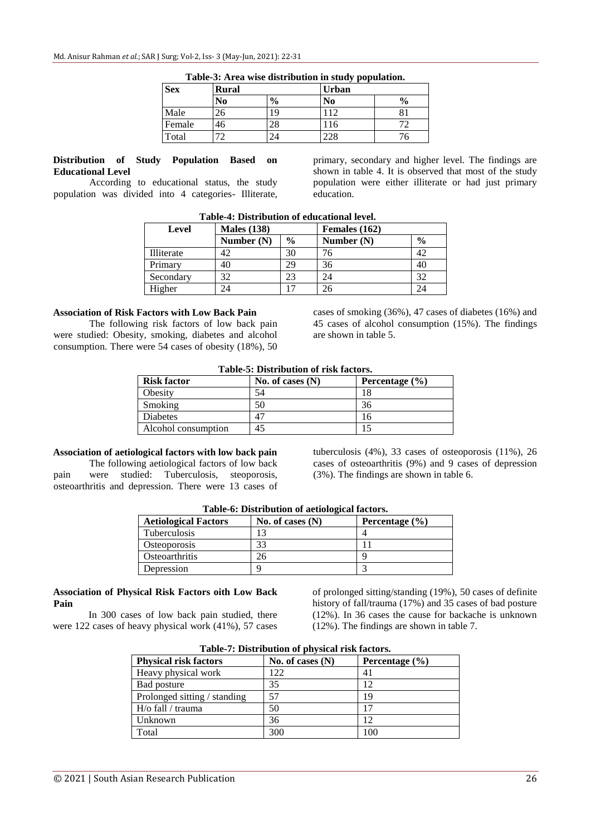| <b>Sex</b> | <b>Rural</b> |               | <b>Urban</b> |               |  |
|------------|--------------|---------------|--------------|---------------|--|
|            | No           | $\frac{6}{6}$ | No           | $\frac{0}{0}$ |  |
| Male       | 26           | 19            | 12           | 81            |  |
| Female     | 46           | 28            | 116          | 77            |  |
| Total      | 70           |               | ZC           |               |  |

| Table-3: Area wise distribution in study population. |  |  |  |
|------------------------------------------------------|--|--|--|
|                                                      |  |  |  |

#### **Distribution of Study Population Based on Educational Level**

According to educational status, the study population was divided into 4 categories- Illiterate,

primary, secondary and higher level. The findings are shown in table 4. It is observed that most of the study population were either illiterate or had just primary education.

|            | Tabic-4. Distribution of culcational icycl. |               |               |               |
|------------|---------------------------------------------|---------------|---------------|---------------|
| Level      | <b>Males</b> (138)                          |               | Females (162) |               |
|            | Number $(N)$                                | $\frac{0}{0}$ | Number $(N)$  | $\frac{6}{9}$ |
| Illiterate | 42                                          | 30            |               | 42            |
| Primary    | 40                                          | 29            | 36            | 40            |
| Secondary  | 32                                          | 23            |               | 32            |
| Higher     |                                             |               |               |               |

**Table-4: Distribution of educational level.**

### **Association of Risk Factors with Low Back Pain**

The following risk factors of low back pain were studied: Obesity, smoking, diabetes and alcohol consumption. There were 54 cases of obesity (18%), 50

cases of smoking (36%), 47 cases of diabetes (16%) and 45 cases of alcohol consumption (15%). The findings are shown in table 5.

### **Table-5: Distribution of risk factors.**

| <b>Risk factor</b>  | No. of cases $(N)$ | Percentage $(\% )$ |
|---------------------|--------------------|--------------------|
| Obesity             | 54                 | 18                 |
| Smoking             | 50                 | 36                 |
| Diabetes            | 47                 | 16                 |
| Alcohol consumption | 45                 |                    |

## **Association of aetiological factors with low back pain**

The following aetiological factors of low back pain were studied: Tuberculosis, steoporosis, osteoarthritis and depression. There were 13 cases of tuberculosis (4%), 33 cases of osteoporosis (11%), 26 cases of osteoarthritis (9%) and 9 cases of depression (3%). The findings are shown in table 6.

| Table-0. Distribution of actionogical factors. |                    |                    |  |  |  |
|------------------------------------------------|--------------------|--------------------|--|--|--|
| <b>Aetiological Factors</b>                    | No. of cases $(N)$ | Percentage $(\% )$ |  |  |  |
| <b>Tuberculosis</b>                            |                    |                    |  |  |  |
| <i><b>Osteoporosis</b></i>                     | 33                 |                    |  |  |  |
| <b>O</b> steoarthritis                         | 26                 |                    |  |  |  |
| Depression                                     |                    |                    |  |  |  |

## **Table-6: Distribution of aetiological factors.**

## **Association of Physical Risk Factors oith Low Back Pain**

In 300 cases of low back pain studied, there were 122 cases of heavy physical work (41%), 57 cases

of prolonged sitting/standing (19%), 50 cases of definite history of fall/trauma (17%) and 35 cases of bad posture (12%). In 36 cases the cause for backache is unknown (12%). The findings are shown in table 7.

| <b>Physical risk factors</b> | No. of cases $(N)$ | Percentage $(\% )$ |  |  |  |  |  |
|------------------------------|--------------------|--------------------|--|--|--|--|--|
| Heavy physical work          | 122                | 41                 |  |  |  |  |  |
| Bad posture                  | 35                 | 12                 |  |  |  |  |  |
| Prolonged sitting / standing | 57                 | 19                 |  |  |  |  |  |
| H/o fall / trauma            | 50                 | 17                 |  |  |  |  |  |
| Unknown                      | 36                 | 12                 |  |  |  |  |  |
| Total                        | 300                | 100                |  |  |  |  |  |

**Table-7: Distribution of physical risk factors.**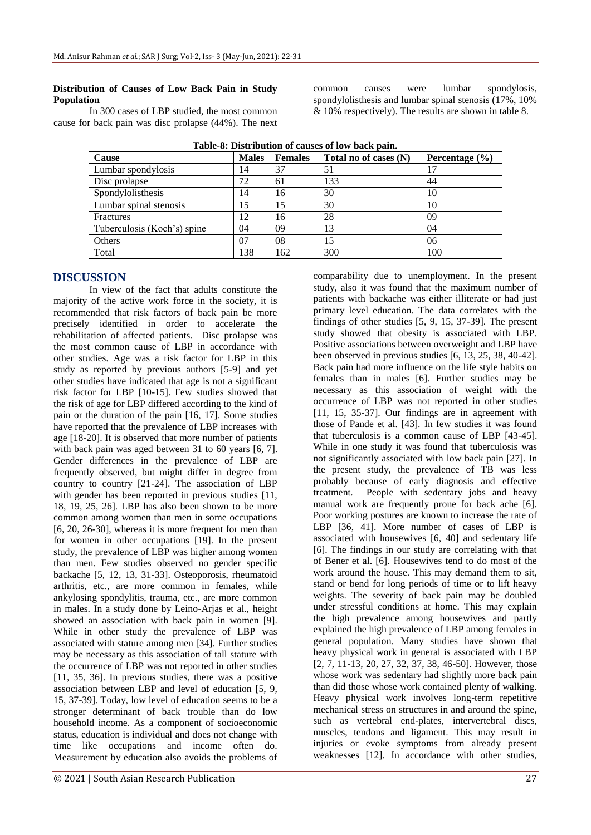### **Distribution of Causes of Low Back Pain in Study Population**

In 300 cases of LBP studied, the most common cause for back pain was disc prolapse (44%). The next common causes were lumbar spondylosis, spondylolisthesis and lumbar spinal stenosis (17%, 10% & 10% respectively). The results are shown in table 8.

| Cause                       | <b>Males</b> | <b>Females</b> | Total no of cases (N) | Percentage $(\% )$ |
|-----------------------------|--------------|----------------|-----------------------|--------------------|
| Lumbar spondylosis          | 14           | 37             | 51                    | 17                 |
| Disc prolapse               | 72           | 61             | 133                   | 44                 |
| Spondylolisthesis           | 14           | 16             | 30                    | 10                 |
| Lumbar spinal stenosis      | 15           | 15             | 30                    | 10                 |
| Fractures                   | 12           | 16             | 28                    | 09                 |
| Tuberculosis (Koch's) spine | 04           | 09             | 13                    | 04                 |
| Others                      | 07           | 08             | 15                    | 06                 |
| Total                       | 138          | 162            | 300                   | 100                |

**Table-8: Distribution of causes of low back pain.**

## **DISCUSSION**

In view of the fact that adults constitute the majority of the active work force in the society, it is recommended that risk factors of back pain be more precisely identified in order to accelerate the rehabilitation of affected patients. Disc prolapse was the most common cause of LBP in accordance with other studies. Age was a risk factor for LBP in this study as reported by previous authors [5-9] and yet other studies have indicated that age is not a significant risk factor for LBP [10-15]. Few studies showed that the risk of age for LBP differed according to the kind of pain or the duration of the pain [16, 17]. Some studies have reported that the prevalence of LBP increases with age [18-20]. It is observed that more number of patients with back pain was aged between 31 to 60 years [6, 7]. Gender differences in the prevalence of LBP are frequently observed, but might differ in degree from country to country [21-24]. The association of LBP with gender has been reported in previous studies [11, 18, 19, 25, 26]. LBP has also been shown to be more common among women than men in some occupations [6, 20, 26-30], whereas it is more frequent for men than for women in other occupations [19]. In the present study, the prevalence of LBP was higher among women than men. Few studies observed no gender specific backache [5, 12, 13, 31-33]. Osteoporosis, rheumatoid arthritis, etc., are more common in females, while ankylosing spondylitis, trauma, etc., are more common in males. In a study done by Leino-Arjas et al., height showed an association with back pain in women [9]. While in other study the prevalence of LBP was associated with stature among men [34]. Further studies may be necessary as this association of tall stature with the occurrence of LBP was not reported in other studies [11, 35, 36]. In previous studies, there was a positive association between LBP and level of education [5, 9, 15, 37-39]. Today, low level of education seems to be a stronger determinant of back trouble than do low household income. As a component of socioeconomic status, education is individual and does not change with time like occupations and income often do. Measurement by education also avoids the problems of

comparability due to unemployment. In the present study, also it was found that the maximum number of patients with backache was either illiterate or had just primary level education. The data correlates with the findings of other studies [5, 9, 15, 37-39]. The present study showed that obesity is associated with LBP. Positive associations between overweight and LBP have been observed in previous studies [6, 13, 25, 38, 40-42]. Back pain had more influence on the life style habits on females than in males [6]. Further studies may be necessary as this association of weight with the occurrence of LBP was not reported in other studies [11, 15, 35-37]. Our findings are in agreement with those of Pande et al. [43]. In few studies it was found that tuberculosis is a common cause of LBP [43-45]. While in one study it was found that tuberculosis was not significantly associated with low back pain [27]. In the present study, the prevalence of TB was less probably because of early diagnosis and effective treatment. People with sedentary jobs and heavy manual work are frequently prone for back ache [6]. Poor working postures are known to increase the rate of LBP [36, 41]. More number of cases of LBP is associated with housewives [6, 40] and sedentary life [6]. The findings in our study are correlating with that of Bener et al. [6]. Housewives tend to do most of the work around the house. This may demand them to sit, stand or bend for long periods of time or to lift heavy weights. The severity of back pain may be doubled under stressful conditions at home. This may explain the high prevalence among housewives and partly explained the high prevalence of LBP among females in general population. Many studies have shown that heavy physical work in general is associated with LBP [2, 7, 11-13, 20, 27, 32, 37, 38, 46-50]. However, those whose work was sedentary had slightly more back pain than did those whose work contained plenty of walking. Heavy physical work involves long-term repetitive mechanical stress on structures in and around the spine, such as vertebral end-plates, intervertebral discs, muscles, tendons and ligament. This may result in injuries or evoke symptoms from already present weaknesses [12]. In accordance with other studies,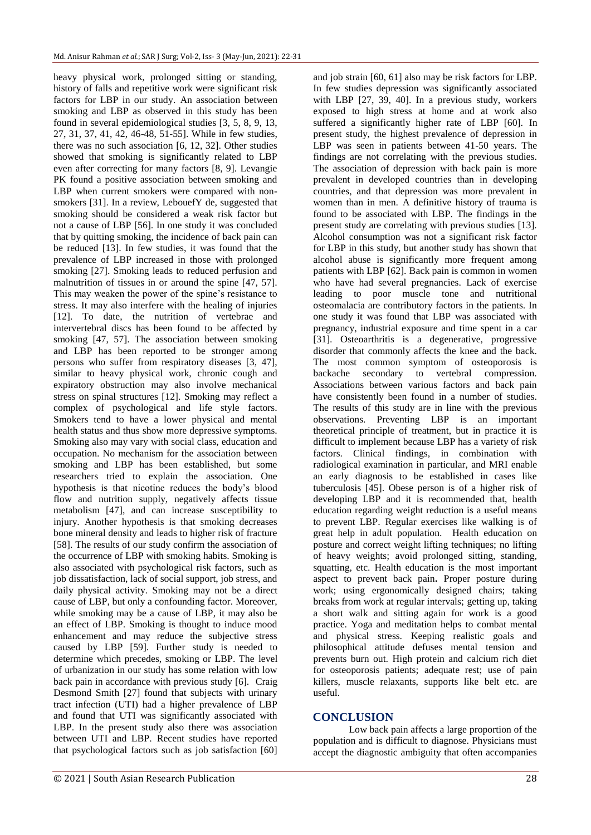heavy physical work, prolonged sitting or standing, history of falls and repetitive work were significant risk factors for LBP in our study. An association between smoking and LBP as observed in this study has been found in several epidemiological studies [3, 5, 8, 9, 13, 27, 31, 37, 41, 42, 46-48, 51-55]. While in few studies, there was no such association [6, 12, 32]. Other studies showed that smoking is significantly related to LBP even after correcting for many factors [8, 9]. Levangie PK found a positive association between smoking and LBP when current smokers were compared with nonsmokers [31]. In a review, LebouefY de, suggested that smoking should be considered a weak risk factor but not a cause of LBP [56]. In one study it was concluded that by quitting smoking, the incidence of back pain can be reduced [13]. In few studies, it was found that the prevalence of LBP increased in those with prolonged smoking [27]. Smoking leads to reduced perfusion and malnutrition of tissues in or around the spine [47, 57]. This may weaken the power of the spine's resistance to stress. It may also interfere with the healing of injuries [12]. To date, the nutrition of vertebrae and intervertebral discs has been found to be affected by smoking [47, 57]. The association between smoking and LBP has been reported to be stronger among persons who suffer from respiratory diseases [3, 47], similar to heavy physical work, chronic cough and expiratory obstruction may also involve mechanical stress on spinal structures [12]. Smoking may reflect a complex of psychological and life style factors. Smokers tend to have a lower physical and mental health status and thus show more depressive symptoms. Smoking also may vary with social class, education and occupation. No mechanism for the association between smoking and LBP has been established, but some researchers tried to explain the association. One hypothesis is that nicotine reduces the body's blood flow and nutrition supply, negatively affects tissue metabolism [47], and can increase susceptibility to injury. Another hypothesis is that smoking decreases bone mineral density and leads to higher risk of fracture [58]. The results of our study confirm the association of the occurrence of LBP with smoking habits. Smoking is also associated with psychological risk factors, such as job dissatisfaction, lack of social support, job stress, and daily physical activity. Smoking may not be a direct cause of LBP, but only a confounding factor. Moreover, while smoking may be a cause of LBP, it may also be an effect of LBP. Smoking is thought to induce mood enhancement and may reduce the subjective stress caused by LBP [59]. Further study is needed to determine which precedes, smoking or LBP. The level of urbanization in our study has some relation with low back pain in accordance with previous study [6]. Craig Desmond Smith [27] found that subjects with urinary tract infection (UTI) had a higher prevalence of LBP and found that UTI was significantly associated with LBP. In the present study also there was association between UTI and LBP. Recent studies have reported that psychological factors such as job satisfaction [60]

and job strain [60, 61] also may be risk factors for LBP. In few studies depression was significantly associated with LBP [27, 39, 40]. In a previous study, workers exposed to high stress at home and at work also suffered a significantly higher rate of LBP [60]. In present study, the highest prevalence of depression in LBP was seen in patients between 41-50 years. The findings are not correlating with the previous studies. The association of depression with back pain is more prevalent in developed countries than in developing countries, and that depression was more prevalent in women than in men. A definitive history of trauma is found to be associated with LBP. The findings in the present study are correlating with previous studies [13]. Alcohol consumption was not a significant risk factor for LBP in this study, but another study has shown that alcohol abuse is significantly more frequent among patients with LBP [62]. Back pain is common in women who have had several pregnancies. Lack of exercise leading to poor muscle tone and nutritional osteomalacia are contributory factors in the patients. In one study it was found that LBP was associated with pregnancy, industrial exposure and time spent in a car [31]. Osteoarthritis is a degenerative, progressive disorder that commonly affects the knee and the back. The most common symptom of osteoporosis is backache secondary to vertebral compression. Associations between various factors and back pain have consistently been found in a number of studies. The results of this study are in line with the previous observations. Preventing LBP is an important theoretical principle of treatment, but in practice it is difficult to implement because LBP has a variety of risk factors. Clinical findings, in combination with radiological examination in particular, and MRI enable an early diagnosis to be established in cases like tuberculosis [45]. Obese person is of a higher risk of developing LBP and it is recommended that, health education regarding weight reduction is a useful means to prevent LBP. Regular exercises like walking is of great help in adult population. Health education on posture and correct weight lifting techniques; no lifting of heavy weights; avoid prolonged sitting, standing, squatting, etc. Health education is the most important aspect to prevent back pain**.** Proper posture during work; using ergonomically designed chairs; taking breaks from work at regular intervals; getting up, taking a short walk and sitting again for work is a good practice. Yoga and meditation helps to combat mental and physical stress. Keeping realistic goals and philosophical attitude defuses mental tension and prevents burn out. High protein and calcium rich diet for osteoporosis patients; adequate rest; use of pain killers, muscle relaxants, supports like belt etc. are useful.

#### **CONCLUSION**

Low back pain affects a large proportion of the population and is difficult to diagnose. Physicians must accept the diagnostic ambiguity that often accompanies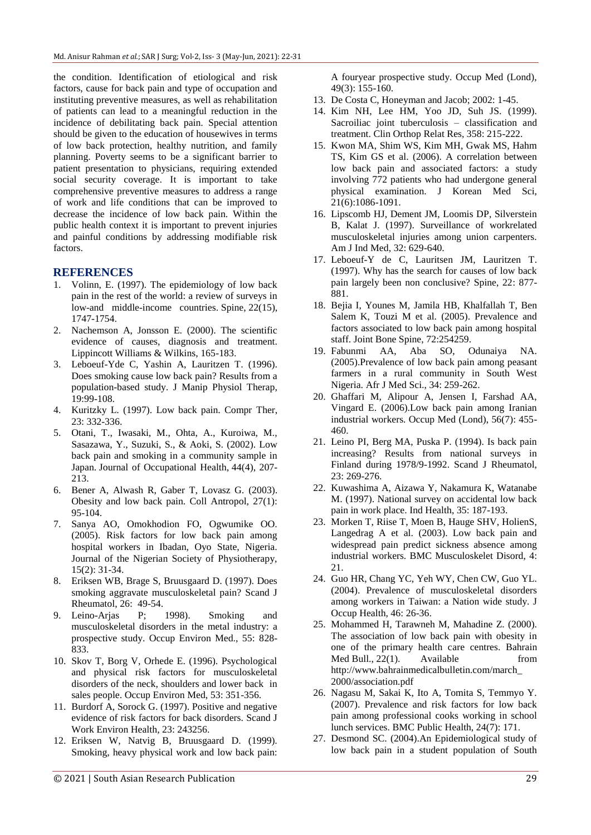the condition. Identification of etiological and risk factors, cause for back pain and type of occupation and instituting preventive measures, as well as rehabilitation of patients can lead to a meaningful reduction in the incidence of debilitating back pain. Special attention should be given to the education of housewives in terms of low back protection, healthy nutrition, and family planning. Poverty seems to be a significant barrier to patient presentation to physicians, requiring extended social security coverage. It is important to take comprehensive preventive measures to address a range of work and life conditions that can be improved to decrease the incidence of low back pain. Within the public health context it is important to prevent injuries and painful conditions by addressing modifiable risk factors.

## **REFERENCES**

- 1. Volinn, E. (1997). The epidemiology of low back pain in the rest of the world: a review of surveys in low-and middle-income countries. Spine, 22(15), 1747-1754.
- 2. Nachemson A, Jonsson E. (2000). The scientific evidence of causes, diagnosis and treatment. Lippincott Williams & Wilkins, 165-183.
- 3. Leboeuf-Yde C, Yashin A, Lauritzen T. (1996). Does smoking cause low back pain? Results from a population-based study. J Manip Physiol Therap, 19:99-108.
- 4. Kuritzky L. (1997). Low back pain. Compr Ther, 23: 332-336.
- 5. Otani, T., Iwasaki, M., Ohta, A., Kuroiwa, M., Sasazawa, Y., Suzuki, S., & Aoki, S. (2002). Low back pain and smoking in a community sample in Japan. Journal of Occupational Health, 44(4), 207- 213.
- 6. Bener A, Alwash R, Gaber T, Lovasz G. (2003). Obesity and low back pain. Coll Antropol, 27(1): 95-104.
- 7. Sanya AO, Omokhodion FO, Ogwumike OO. (2005). Risk factors for low back pain among hospital workers in Ibadan, Oyo State, Nigeria. Journal of the Nigerian Society of Physiotherapy, 15(2): 31-34.
- 8. Eriksen WB, Brage S, Bruusgaard D. (1997). Does smoking aggravate musculoskeletal pain? Scand J Rheumatol, 26: 49-54.
- 9. Leino-Arjas P; 1998). Smoking and musculoskeletal disorders in the metal industry: a prospective study. Occup Environ Med., 55: 828- 833.
- 10. Skov T, Borg V, Orhede E. (1996). Psychological and physical risk factors for musculoskeletal disorders of the neck, shoulders and lower back in sales people. Occup Environ Med, 53: 351-356.
- 11. Burdorf A, Sorock G. (1997). Positive and negative evidence of risk factors for back disorders. Scand J Work Environ Health, 23: 243256.
- 12. Eriksen W, Natvig B, Bruusgaard D. (1999). Smoking, heavy physical work and low back pain:

A fouryear prospective study. Occup Med (Lond), 49(3): 155-160.

- 13. De Costa C, Honeyman and Jacob; 2002: 1-45.
- 14. Kim NH, Lee HM, Yoo JD, Suh JS. (1999). Sacroiliac joint tuberculosis – classification and treatment. Clin Orthop Relat Res, 358: 215-222.
- 15. Kwon MA, Shim WS, Kim MH, Gwak MS, Hahm TS, Kim GS et al. (2006). A correlation between low back pain and associated factors: a study involving 772 patients who had undergone general physical examination. J Korean Med Sci, 21(6):1086-1091.
- 16. Lipscomb HJ, Dement JM, Loomis DP, Silverstein B, Kalat J. (1997). Surveillance of workrelated musculoskeletal injuries among union carpenters. Am J Ind Med, 32: 629-640.
- 17. Leboeuf-Y de C, Lauritsen JM, Lauritzen T. (1997). Why has the search for causes of low back pain largely been non conclusive? Spine, 22: 877- 881.
- 18. Bejia I, Younes M, Jamila HB, Khalfallah T, Ben Salem K, Touzi M et al. (2005). Prevalence and factors associated to low back pain among hospital staff. Joint Bone Spine, 72:254259.
- 19. Fabunmi AA, Aba SO, Odunaiya NA. (2005).Prevalence of low back pain among peasant farmers in a rural community in South West Nigeria. Afr J Med Sci., 34: 259-262.
- 20. Ghaffari M, Alipour A, Jensen I, Farshad AA, Vingard E. (2006).Low back pain among Iranian industrial workers. Occup Med (Lond), 56(7): 455- 460.
- 21. Leino PI, Berg MA, Puska P. (1994). Is back pain increasing? Results from national surveys in Finland during 1978/9-1992. Scand J Rheumatol, 23: 269-276.
- 22. Kuwashima A, Aizawa Y, Nakamura K, Watanabe M. (1997). National survey on accidental low back pain in work place. Ind Health, 35: 187-193.
- 23. Morken T, Riise T, Moen B, Hauge SHV, HolienS, Langedrag A et al. (2003). Low back pain and widespread pain predict sickness absence among industrial workers. BMC Musculoskelet Disord, 4: 21.
- 24. Guo HR, Chang YC, Yeh WY, Chen CW, Guo YL. (2004). Prevalence of musculoskeletal disorders among workers in Taiwan: a Nation wide study. J Occup Health, 46: 26-36.
- 25. Mohammed H, Tarawneh M, Mahadine Z. (2000). The association of low back pain with obesity in one of the primary health care centres. Bahrain Med Bull., 22(1). Available from [http://www.bahrainmedicalbulletin.com/march\\_](http://www.bahrainmedicalbulletin.com/march_) 2000/association.pdf
- 26. Nagasu M, Sakai K, Ito A, Tomita S, Temmyo Y. (2007). Prevalence and risk factors for low back pain among professional cooks working in school lunch services. BMC Public Health, 24(7): 171.
- 27. Desmond SC. (2004).An Epidemiological study of low back pain in a student population of South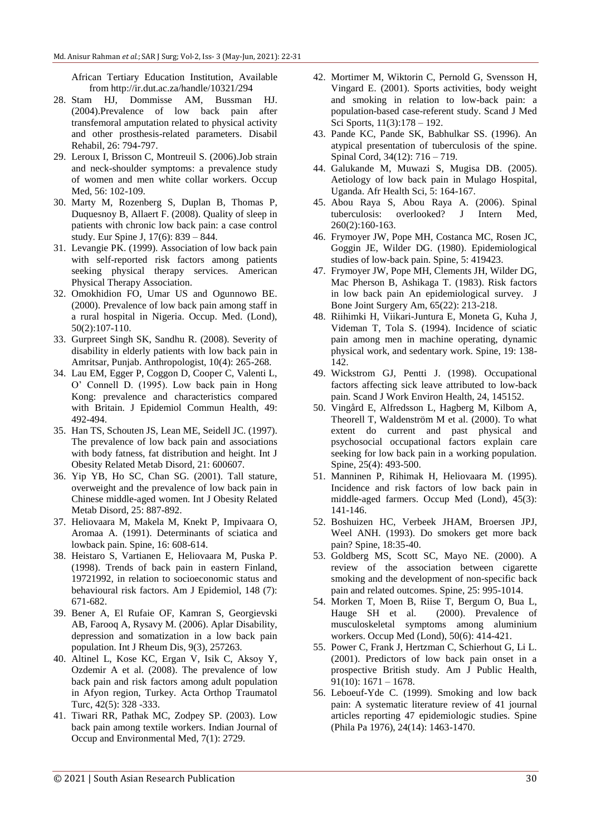African Tertiary Education Institution, Available from http://ir.dut.ac.za/handle/10321/294

- 28. Stam HJ, Dommisse AM, Bussman HJ. (2004).Prevalence of low back pain after transfemoral amputation related to physical activity and other prosthesis-related parameters. Disabil Rehabil, 26: 794-797.
- 29. Leroux I, Brisson C, Montreuil S. (2006).Job strain and neck-shoulder symptoms: a prevalence study of women and men white collar workers. Occup Med, 56: 102-109.
- 30. Marty M, Rozenberg S, Duplan B, Thomas P, Duquesnoy B, Allaert F. (2008). Quality of sleep in patients with chronic low back pain: a case control study. Eur Spine J, 17(6): 839 – 844.
- 31. Levangie PK. (1999). Association of low back pain with self-reported risk factors among patients seeking physical therapy services. American Physical Therapy Association.
- 32. Omokhidion FO, Umar US and Ogunnowo BE. (2000). Prevalence of low back pain among staff in a rural hospital in Nigeria. Occup. Med. (Lond), 50(2):107-110.
- 33. Gurpreet Singh SK, Sandhu R. (2008). Severity of disability in elderly patients with low back pain in Amritsar, Punjab. Anthropologist, 10(4): 265-268.
- 34. Lau EM, Egger P, Coggon D, Cooper C, Valenti L, O' Connell D. (1995). Low back pain in Hong Kong: prevalence and characteristics compared with Britain. J Epidemiol Commun Health, 49: 492-494.
- 35. Han TS, Schouten JS, Lean ME, Seidell JC. (1997). The prevalence of low back pain and associations with body fatness, fat distribution and height. Int J Obesity Related Metab Disord, 21: 600607.
- 36. Yip YB, Ho SC, Chan SG. (2001). Tall stature, overweight and the prevalence of low back pain in Chinese middle-aged women. Int J Obesity Related Metab Disord, 25: 887-892.
- 37. Heliovaara M, Makela M, Knekt P, Impivaara O, Aromaa A. (1991). Determinants of sciatica and lowback pain. Spine, 16: 608-614.
- 38. Heistaro S, Vartianen E, Heliovaara M, Puska P. (1998). Trends of back pain in eastern Finland, 19721992, in relation to socioeconomic status and behavioural risk factors. Am J Epidemiol, 148 (7): 671-682.
- 39. Bener A, El Rufaie OF, Kamran S, Georgievski AB, Farooq A, Rysavy M. (2006). Aplar Disability, depression and somatization in a low back pain population. Int J Rheum Dis, 9(3), 257263.
- 40. Altinel L, Kose KC, Ergan V, Isik C, Aksoy Y, Ozdemir A et al. (2008). The prevalence of low back pain and risk factors among adult population in Afyon region, Turkey. Acta Orthop Traumatol Turc, 42(5): 328 -333.
- 41. Tiwari RR, Pathak MC, Zodpey SP. (2003). Low back pain among textile workers. Indian Journal of Occup and Environmental Med, 7(1): 2729.
- 42. Mortimer M, Wiktorin C, Pernold G, Svensson H, Vingard E. (2001). Sports activities, body weight and smoking in relation to low-back pain: a population-based case-referent study. Scand J Med Sci Sports, 11(3):178 – 192.
- 43. Pande KC, Pande SK, Babhulkar SS. (1996). An atypical presentation of tuberculosis of the spine. Spinal Cord, 34(12): 716 – 719.
- 44. Galukande M, Muwazi S, Mugisa DB. (2005). Aetiology of low back pain in Mulago Hospital, Uganda. Afr Health Sci, 5: 164-167.
- 45. Abou Raya S, Abou Raya A. (2006). Spinal tuberculosis: overlooked? J Intern Med, 260(2):160-163.
- 46. Frymoyer JW, Pope MH, Costanca MC, Rosen JC, Goggin JE, Wilder DG. (1980). Epidemiological studies of low-back pain. Spine, 5: 419423.
- 47. Frymoyer JW, Pope MH, Clements JH, Wilder DG, Mac Pherson B, Ashikaga T. (1983). Risk factors in low back pain An epidemiological survey. J Bone Joint Surgery Am, 65(22): 213-218.
- 48. Riihimki H, Viikari-Juntura E, Moneta G, Kuha J, Videman T, Tola S. (1994). Incidence of sciatic pain among men in machine operating, dynamic physical work, and sedentary work. Spine, 19: 138- 142.
- 49. Wickstrom GJ, Pentti J. (1998). Occupational factors affecting sick leave attributed to low-back pain. Scand J Work Environ Health, 24, 145152.
- 50. Vingård E, Alfredsson L, Hagberg M, Kilbom A, Theorell T, Waldenström M et al. (2000). To what extent do current and past physical and psychosocial occupational factors explain care seeking for low back pain in a working population. Spine, 25(4): 493-500.
- 51. Manninen P, Rihimak H, Heliovaara M. (1995). Incidence and risk factors of low back pain in middle-aged farmers. Occup Med (Lond), 45(3): 141-146.
- 52. Boshuizen HC, Verbeek JHAM, Broersen JPJ, Weel ANH. (1993). Do smokers get more back pain? Spine, 18:35-40.
- 53. Goldberg MS, Scott SC, Mayo NE. (2000). A review of the association between cigarette smoking and the development of non-specific back pain and related outcomes. Spine, 25: 995-1014.
- 54. Morken T, Moen B, Riise T, Bergum O, Bua L, Hauge SH et al. (2000). Prevalence of musculoskeletal symptoms among aluminium workers. Occup Med (Lond), 50(6): 414-421.
- 55. Power C, Frank J, Hertzman C, Schierhout G, Li L. (2001). Predictors of low back pain onset in a prospective British study. Am J Public Health, 91(10):  $1671 - 1678$ .
- 56. Leboeuf-Yde C. (1999). Smoking and low back pain: A systematic literature review of 41 journal articles reporting 47 epidemiologic studies. Spine (Phila Pa 1976), 24(14): 1463-1470.